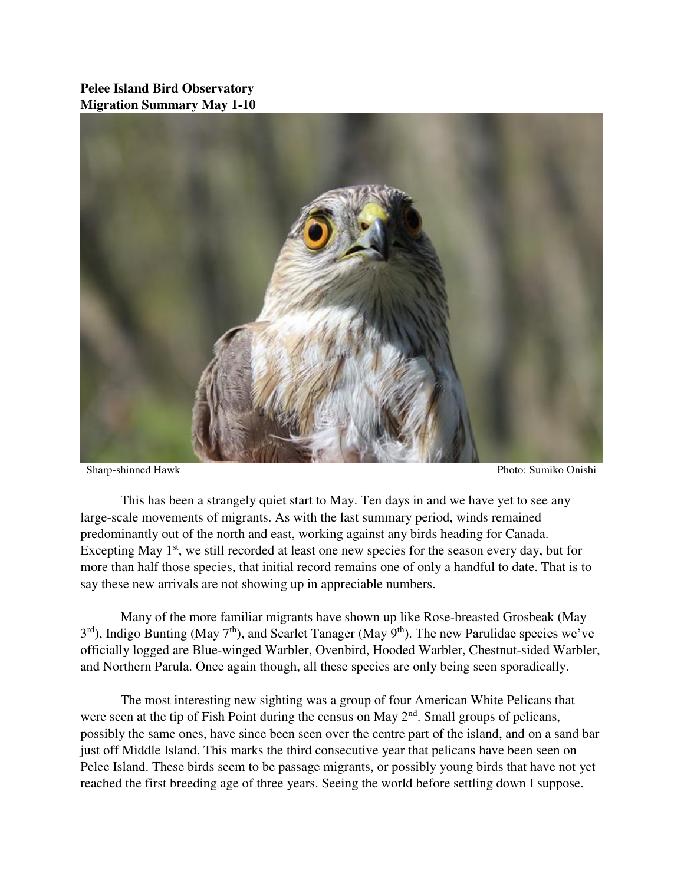## **Pelee Island Bird Observatory Migration Summary May 1-10**



Sharp-shinned Hawk Photo: Sumiko Onishi

 This has been a strangely quiet start to May. Ten days in and we have yet to see any large-scale movements of migrants. As with the last summary period, winds remained predominantly out of the north and east, working against any birds heading for Canada. Excepting May  $1<sup>st</sup>$ , we still recorded at least one new species for the season every day, but for more than half those species, that initial record remains one of only a handful to date. That is to say these new arrivals are not showing up in appreciable numbers.

 Many of the more familiar migrants have shown up like Rose-breasted Grosbeak (May  $3<sup>rd</sup>$ ), Indigo Bunting (May 7<sup>th</sup>), and Scarlet Tanager (May 9<sup>th</sup>). The new Parulidae species we've officially logged are Blue-winged Warbler, Ovenbird, Hooded Warbler, Chestnut-sided Warbler, and Northern Parula. Once again though, all these species are only being seen sporadically.

 The most interesting new sighting was a group of four American White Pelicans that were seen at the tip of Fish Point during the census on May 2<sup>nd</sup>. Small groups of pelicans, possibly the same ones, have since been seen over the centre part of the island, and on a sand bar just off Middle Island. This marks the third consecutive year that pelicans have been seen on Pelee Island. These birds seem to be passage migrants, or possibly young birds that have not yet reached the first breeding age of three years. Seeing the world before settling down I suppose.